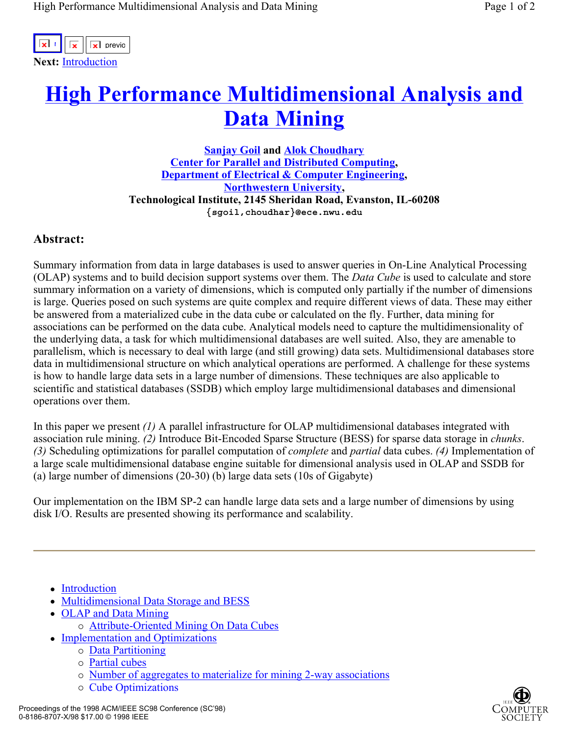

## **High Performance Multidimensional Analysis and Data Mining**

**Sanjay Goil and Alok Choudhary Center for Parallel and Distributed Computing, Department of Electrical & Computer Engineering, Northwestern University, Technological Institute, 2145 Sheridan Road, Evanston, IL-60208 {sgoil,choudhar}@ece.nwu.edu** 

## **Abstract:**

Summary information from data in large databases is used to answer queries in On-Line Analytical Processing (OLAP) systems and to build decision support systems over them. The *Data Cube* is used to calculate and store summary information on a variety of dimensions, which is computed only partially if the number of dimensions is large. Queries posed on such systems are quite complex and require different views of data. These may either be answered from a materialized cube in the data cube or calculated on the fly. Further, data mining for associations can be performed on the data cube. Analytical models need to capture the multidimensionality of the underlying data, a task for which multidimensional databases are well suited. Also, they are amenable to parallelism, which is necessary to deal with large (and still growing) data sets. Multidimensional databases store data in multidimensional structure on which analytical operations are performed. A challenge for these systems is how to handle large data sets in a large number of dimensions. These techniques are also applicable to scientific and statistical databases (SSDB) which employ large multidimensional databases and dimensional operations over them.

In this paper we present *(1)* A parallel infrastructure for OLAP multidimensional databases integrated with association rule mining. *(2)* Introduce Bit-Encoded Sparse Structure (BESS) for sparse data storage in *chunks*. *(3)* Scheduling optimizations for parallel computation of *complete* and *partial* data cubes. *(4)* Implementation of a large scale multidimensional database engine suitable for dimensional analysis used in OLAP and SSDB for (a) large number of dimensions (20-30) (b) large data sets (10s of Gigabyte)

Our implementation on the IBM SP-2 can handle large data sets and a large number of dimensions by using disk I/O. Results are presented showing its performance and scalability.

- Introduction
- Multidimensional Data Storage and BESS
- OLAP and Data Mining
	- o Attribute-Oriented Mining On Data Cubes
- Implementation and Optimizations
	- $\circ$  Data Partitioning
	- $\circ$  Partial cubes
	- $\circ$  Number of aggregates to materialize for mining 2-way associations
	- $\circ$  Cube Optimizations